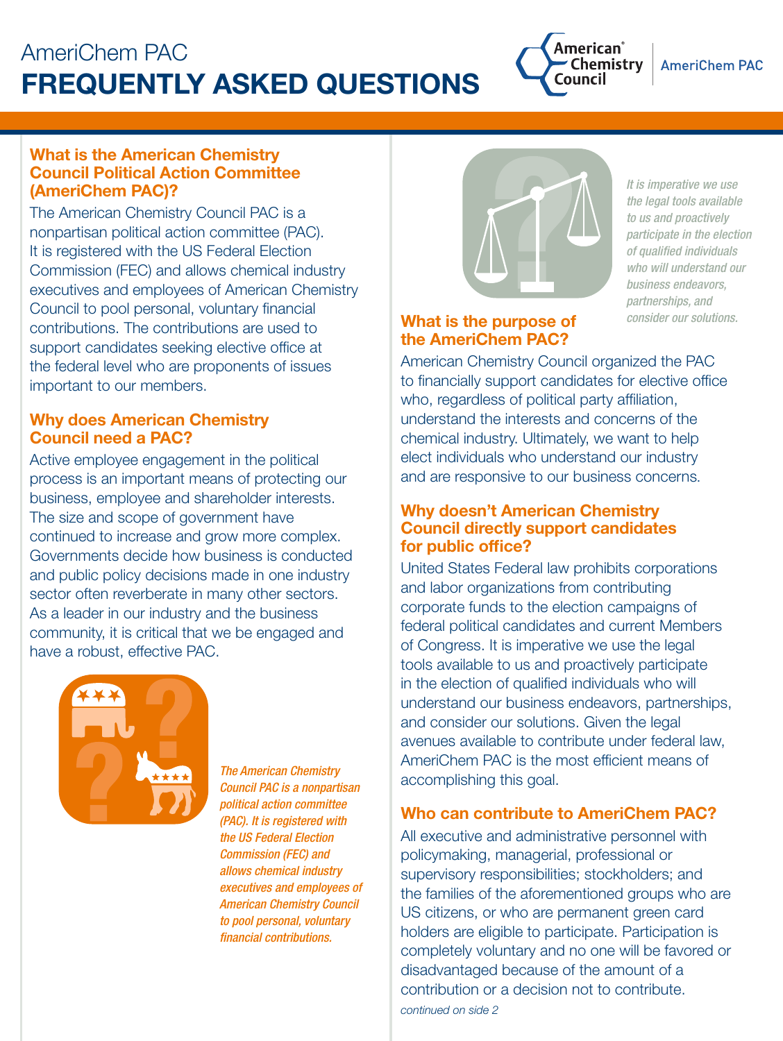# AmeriChem PAC FREQUENTLY ASKED QUESTIONS



#### What is the American Chemistry Council Political Action Committee (AmeriChem PAC)?

The American Chemistry Council PAC is a nonpartisan political action committee (PAC). It is registered with the US Federal Election Commission (FEC) and allows chemical industry executives and employees of American Chemistry Council to pool personal, voluntary financial contributions. The contributions are used to support candidates seeking elective office at the federal level who are proponents of issues important to our members.

## Why does American Chemistry Council need a PAC?

Active employee engagement in the political process is an important means of protecting our business, employee and shareholder interests. The size and scope of government have continued to increase and grow more complex. Governments decide how business is conducted and public policy decisions made in one industry sector often reverberate in many other sectors. As a leader in our industry and the business community, it is critical that we be engaged and have a robust, effective PAC.



*The American Chemistry Council PAC is a nonpartisan political action committee (PAC). It is registered with the US Federal Election Commission (FEC) and allows chemical industry executives and employees of American Chemistry Council to pool personal, voluntary financial contributions.*



*It is imperative we use the legal tools available to us and proactively participate in the election of qualified individuals who will understand our business endeavors, partnerships, and consider our solutions.*

# What is the purpose of the AmeriChem PAC?

American Chemistry Council organized the PAC to financially support candidates for elective office who, regardless of political party affiliation, understand the interests and concerns of the chemical industry. Ultimately, we want to help elect individuals who understand our industry and are responsive to our business concerns.

#### Why doesn't American Chemistry Council directly support candidates for public office?

United States Federal law prohibits corporations and labor organizations from contributing corporate funds to the election campaigns of federal political candidates and current Members of Congress. It is imperative we use the legal tools available to us and proactively participate in the election of qualified individuals who will understand our business endeavors, partnerships, and consider our solutions. Given the legal avenues available to contribute under federal law, AmeriChem PAC is the most efficient means of accomplishing this goal.

# Who can contribute to AmeriChem PAC?

All executive and administrative personnel with policymaking, managerial, professional or supervisory responsibilities; stockholders; and the families of the aforementioned groups who are US citizens, or who are permanent green card holders are eligible to participate. Participation is completely voluntary and no one will be favored or disadvantaged because of the amount of a contribution or a decision not to contribute. *continued on side 2*